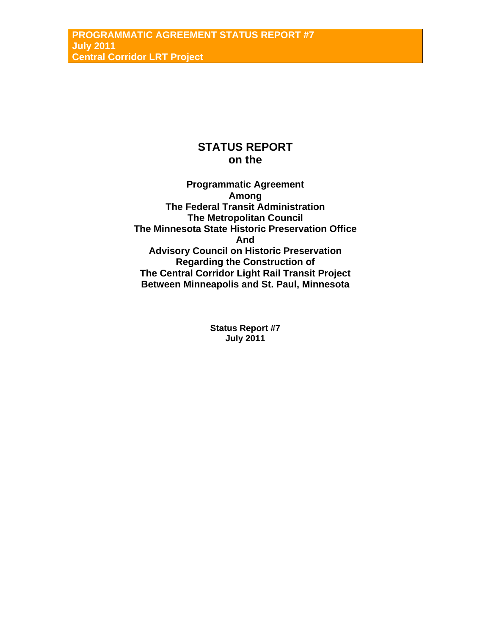# **STATUS REPORT on the**

**Programmatic Agreement Among The Federal Transit Administration The Metropolitan Council The Minnesota State Historic Preservation Office And Advisory Council on Historic Preservation Regarding the Construction of The Central Corridor Light Rail Transit Project Between Minneapolis and St. Paul, Minnesota** 

> **Status Report #7 July 2011**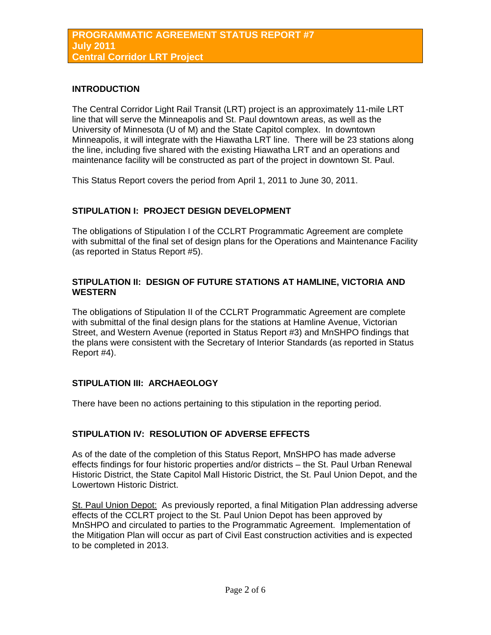### **INTRODUCTION**

The Central Corridor Light Rail Transit (LRT) project is an approximately 11-mile LRT line that will serve the Minneapolis and St. Paul downtown areas, as well as the University of Minnesota (U of M) and the State Capitol complex. In downtown Minneapolis, it will integrate with the Hiawatha LRT line. There will be 23 stations along the line, including five shared with the existing Hiawatha LRT and an operations and maintenance facility will be constructed as part of the project in downtown St. Paul.

This Status Report covers the period from April 1, 2011 to June 30, 2011.

# **STIPULATION I: PROJECT DESIGN DEVELOPMENT**

The obligations of Stipulation I of the CCLRT Programmatic Agreement are complete with submittal of the final set of design plans for the Operations and Maintenance Facility (as reported in Status Report #5).

## **STIPULATION II: DESIGN OF FUTURE STATIONS AT HAMLINE, VICTORIA AND WESTERN**

The obligations of Stipulation II of the CCLRT Programmatic Agreement are complete with submittal of the final design plans for the stations at Hamline Avenue, Victorian Street, and Western Avenue (reported in Status Report #3) and MnSHPO findings that the plans were consistent with the Secretary of Interior Standards (as reported in Status Report #4).

# **STIPULATION III: ARCHAEOLOGY**

There have been no actions pertaining to this stipulation in the reporting period.

### **STIPULATION IV: RESOLUTION OF ADVERSE EFFECTS**

As of the date of the completion of this Status Report, MnSHPO has made adverse effects findings for four historic properties and/or districts – the St. Paul Urban Renewal Historic District, the State Capitol Mall Historic District, the St. Paul Union Depot, and the Lowertown Historic District.

St. Paul Union Depot: As previously reported, a final Mitigation Plan addressing adverse effects of the CCLRT project to the St. Paul Union Depot has been approved by MnSHPO and circulated to parties to the Programmatic Agreement. Implementation of the Mitigation Plan will occur as part of Civil East construction activities and is expected to be completed in 2013.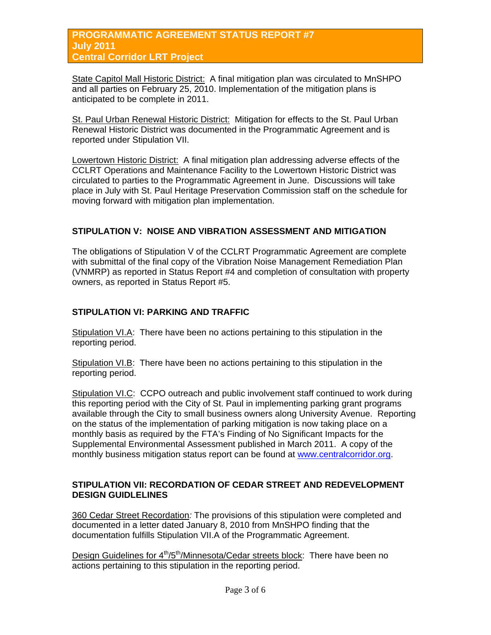#### **PROGRAMMATIC AGREEMENT STATUS REPORT #7 July 2011 Central Corridor LRT Project**

State Capitol Mall Historic District: A final mitigation plan was circulated to MnSHPO and all parties on February 25, 2010. Implementation of the mitigation plans is anticipated to be complete in 2011.

St. Paul Urban Renewal Historic District: Mitigation for effects to the St. Paul Urban Renewal Historic District was documented in the Programmatic Agreement and is reported under Stipulation VII.

Lowertown Historic District: A final mitigation plan addressing adverse effects of the CCLRT Operations and Maintenance Facility to the Lowertown Historic District was circulated to parties to the Programmatic Agreement in June. Discussions will take place in July with St. Paul Heritage Preservation Commission staff on the schedule for moving forward with mitigation plan implementation.

# **STIPULATION V: NOISE AND VIBRATION ASSESSMENT AND MITIGATION**

The obligations of Stipulation V of the CCLRT Programmatic Agreement are complete with submittal of the final copy of the Vibration Noise Management Remediation Plan (VNMRP) as reported in Status Report #4 and completion of consultation with property owners, as reported in Status Report #5.

### **STIPULATION VI: PARKING AND TRAFFIC**

Stipulation VI.A: There have been no actions pertaining to this stipulation in the reporting period.

Stipulation VI.B: There have been no actions pertaining to this stipulation in the reporting period.

Stipulation VI.C: CCPO outreach and public involvement staff continued to work during this reporting period with the City of St. Paul in implementing parking grant programs available through the City to small business owners along University Avenue. Reporting on the status of the implementation of parking mitigation is now taking place on a monthly basis as required by the FTA's Finding of No Significant Impacts for the Supplemental Environmental Assessment published in March 2011. A copy of the monthly business mitigation status report can be found at [www.centralcorridor.org](http://www.centralcorridor.org/).

### **STIPULATION VII: RECORDATION OF CEDAR STREET AND REDEVELOPMENT DESIGN GUIDLELINES**

360 Cedar Street Recordation*:* The provisions of this stipulation were completed and documented in a letter dated January 8, 2010 from MnSHPO finding that the documentation fulfills Stipulation VII.A of the Programmatic Agreement.

Design Guidelines for 4<sup>th</sup>/5<sup>th</sup>/Minnesota/Cedar streets block: There have been no actions pertaining to this stipulation in the reporting period.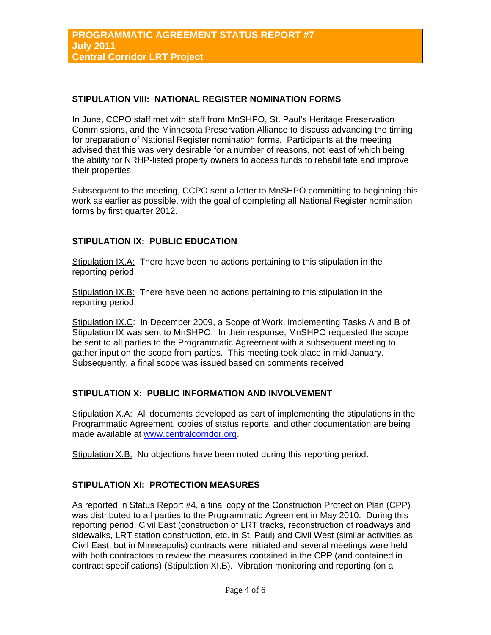#### **STIPULATION VIII: NATIONAL REGISTER NOMINATION FORMS**

In June, CCPO staff met with staff from MnSHPO, St. Paul's Heritage Preservation Commissions, and the Minnesota Preservation Alliance to discuss advancing the timing for preparation of National Register nomination forms. Participants at the meeting advised that this was very desirable for a number of reasons, not least of which being the ability for NRHP-listed property owners to access funds to rehabilitate and improve their properties.

Subsequent to the meeting, CCPO sent a letter to MnSHPO committing to beginning this work as earlier as possible, with the goal of completing all National Register nomination forms by first quarter 2012.

#### **STIPULATION IX: PUBLIC EDUCATION**

Stipulation IX.A: There have been no actions pertaining to this stipulation in the reporting period.

Stipulation IX.B: There have been no actions pertaining to this stipulation in the reporting period.

Stipulation IX.C: In December 2009, a Scope of Work, implementing Tasks A and B of Stipulation IX was sent to MnSHPO. In their response, MnSHPO requested the scope be sent to all parties to the Programmatic Agreement with a subsequent meeting to gather input on the scope from parties. This meeting took place in mid-January. Subsequently, a final scope was issued based on comments received.

#### **STIPULATION X: PUBLIC INFORMATION AND INVOLVEMENT**

Stipulation X.A: All documents developed as part of implementing the stipulations in the Programmatic Agreement, copies of status reports, and other documentation are being made available at [www.centralcorridor.org](http://www.centralcorridor.org/).

Stipulation X.B: No objections have been noted during this reporting period.

### **STIPULATION XI: PROTECTION MEASURES**

As reported in Status Report #4, a final copy of the Construction Protection Plan (CPP) was distributed to all parties to the Programmatic Agreement in May 2010. During this reporting period, Civil East (construction of LRT tracks, reconstruction of roadways and sidewalks, LRT station construction, etc. in St. Paul) and Civil West (similar activities as Civil East, but in Minneapolis) contracts were initiated and several meetings were held with both contractors to review the measures contained in the CPP (and contained in contract specifications) (Stipulation XI.B). Vibration monitoring and reporting (on a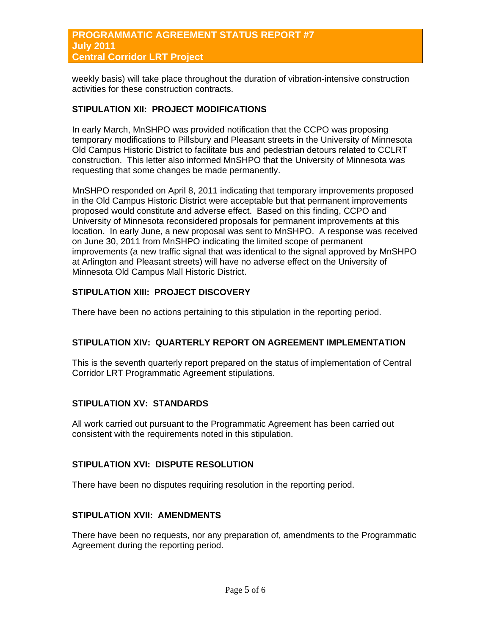### **PROGRAMMATIC AGREEMENT STATUS REPORT #7 July 2011 Central Corridor LRT Project**

weekly basis) will take place throughout the duration of vibration-intensive construction activities for these construction contracts.

## **STIPULATION XII: PROJECT MODIFICATIONS**

In early March, MnSHPO was provided notification that the CCPO was proposing temporary modifications to Pillsbury and Pleasant streets in the University of Minnesota Old Campus Historic District to facilitate bus and pedestrian detours related to CCLRT construction. This letter also informed MnSHPO that the University of Minnesota was requesting that some changes be made permanently.

MnSHPO responded on April 8, 2011 indicating that temporary improvements proposed in the Old Campus Historic District were acceptable but that permanent improvements proposed would constitute and adverse effect. Based on this finding, CCPO and University of Minnesota reconsidered proposals for permanent improvements at this location. In early June, a new proposal was sent to MnSHPO. A response was received on June 30, 2011 from MnSHPO indicating the limited scope of permanent improvements (a new traffic signal that was identical to the signal approved by MnSHPO at Arlington and Pleasant streets) will have no adverse effect on the University of Minnesota Old Campus Mall Historic District.

### **STIPULATION XIII: PROJECT DISCOVERY**

There have been no actions pertaining to this stipulation in the reporting period.

#### **STIPULATION XIV: QUARTERLY REPORT ON AGREEMENT IMPLEMENTATION**

This is the seventh quarterly report prepared on the status of implementation of Central Corridor LRT Programmatic Agreement stipulations.

### **STIPULATION XV: STANDARDS**

All work carried out pursuant to the Programmatic Agreement has been carried out consistent with the requirements noted in this stipulation.

#### **STIPULATION XVI: DISPUTE RESOLUTION**

There have been no disputes requiring resolution in the reporting period.

### **STIPULATION XVII: AMENDMENTS**

There have been no requests, nor any preparation of, amendments to the Programmatic Agreement during the reporting period.